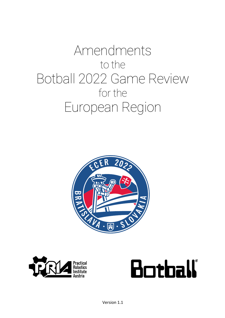# Amendments to the Botball 2022 Game Review for the European Region





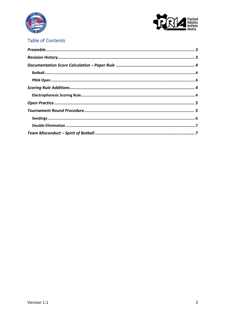



## **Table of Contents**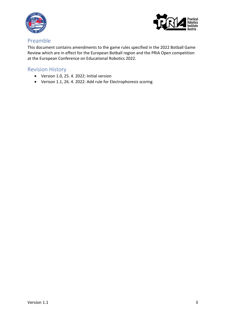



### Preamble

This document contains amendments to the game rules specified in the 2022 Botball Game Review which are in effect for the European Botball region and the PRIA Open competition at the European Conference on Educational Robotics 2022.

## Revision History

- Version 1.0, 25. 4. 2022: Initial version
- Verison 1.1, 26. 4. 2022: Add rule for Electrophoresis scoring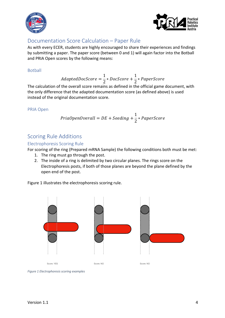



## Documentation Score Calculation – Paper Rule

As with every ECER, students are highly encouraged to share their experiences and findings by submitting a paper. The paper score (between 0 and 1) will again factor into the Botball and PRIA Open scores by the following means:

#### Botball

$$
AdaptedDocScore=\frac{1}{2}*DocScore+\frac{1}{2}*PaperScore
$$

The calculation of the overall score remains as defined in the official game document, with the only difference that the adapted documentation score (as defined above) is used instead of the original documentation score.

#### PRIA Open

$$
PriaOpenOverall = DE + Seeding + \frac{1}{2}*PaperScore
$$

## Scoring Rule Additions

#### Electrophoresis Scoring Rule

For scoring of the ring (Prepared mRNA Sample) the following conditions both must be met:

- 1. The ring must go through the post.
- 2. The inside of a ring is delimited by two circular planes. The rings score on the Electrophoresis posts, if both of those planes are beyond the plane defined by the open end of the post.

Figure 1 illustrates the electrophoresis scoring rule.



*Figure 1 Electrophoresis scoring examples*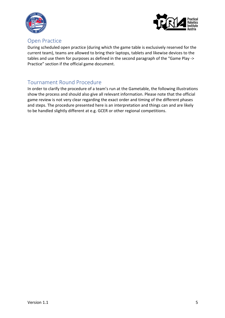



## Open Practice

During scheduled open practice (during which the game table is exclusively reserved for the current team), teams are allowed to bring their laptops, tablets and likewise devices to the tables and use them for purposes as defined in the second paragraph of the "Game Play -> Practice" section if the official game document.

## Tournament Round Procedure

In order to clarify the procedure of a team's run at the Gametable, the following illustrations show the process and should also give all relevant information. Please note that the official game review is not very clear regarding the exact order and timing of the different phases and steps. The procedure presented here is an interpretation and things can and are likely to be handled slightly different at e.g. GCER or other regional competitions.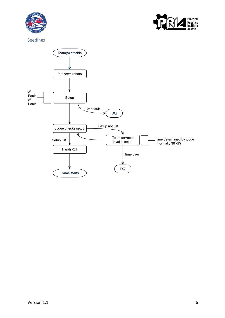



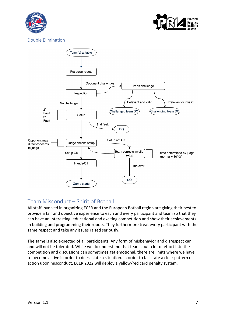



Double Elimination



# Team Misconduct – Spirit of Botball

All staff involved in organizing ECER and the European Botball region are giving their best to provide a fair and objective experience to each and every participant and team so that they can have an interesting, educational and exciting competition and show their achievements in building and programming their robots. They furthermore treat every participant with the same respect and take any issues raised seriously.

The same is also expected of all participants. Any form of misbehavior and disrespect can and will not be tolerated. While we do understand that teams put a lot of effort into the competition and discussions can sometimes get emotional, there are limits where we have to become active in order to deescalate a situation. In order to facilitate a clear pattern of action upon misconduct, ECER 2022 will deploy a yellow/red card penalty system.